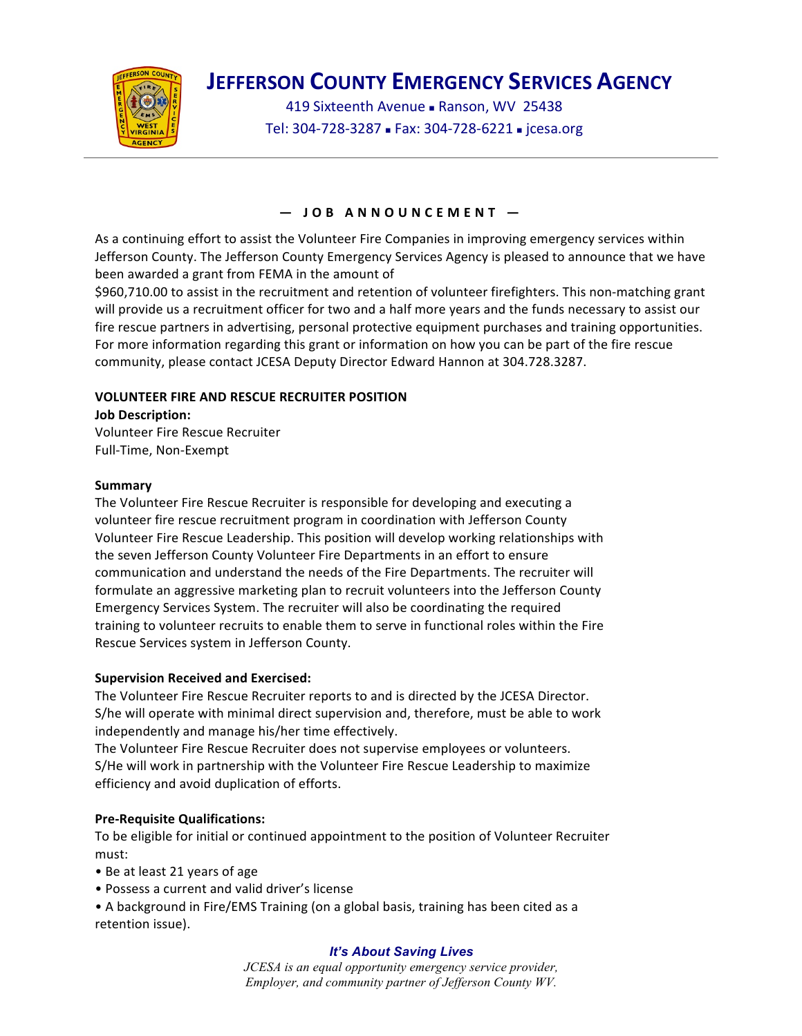

# **JEFFERSON COUNTY EMERGENCY SERVICES AGENCY**

419 Sixteenth Avenue - Ranson, WV 25438 Tel: 304-728-3287 - Fax: 304-728-6221 - jcesa.org

## **— JOB ANNOUNCEMENT —**

As a continuing effort to assist the Volunteer Fire Companies in improving emergency services within Jefferson County. The Jefferson County Emergency Services Agency is pleased to announce that we have been awarded a grant from FEMA in the amount of

\$960,710.00 to assist in the recruitment and retention of volunteer firefighters. This non-matching grant will provide us a recruitment officer for two and a half more years and the funds necessary to assist our fire rescue partners in advertising, personal protective equipment purchases and training opportunities. For more information regarding this grant or information on how you can be part of the fire rescue community, please contact JCESA Deputy Director Edward Hannon at 304.728.3287.

## **VOLUNTEER FIRE AND RESCUE RECRUITER POSITION**

**Job Description:**

Volunteer Fire Rescue Recruiter Full-Time, Non-Exempt

### **Summary**

The Volunteer Fire Rescue Recruiter is responsible for developing and executing a volunteer fire rescue recruitment program in coordination with Jefferson County Volunteer Fire Rescue Leadership. This position will develop working relationships with the seven Jefferson County Volunteer Fire Departments in an effort to ensure communication and understand the needs of the Fire Departments. The recruiter will formulate an aggressive marketing plan to recruit volunteers into the Jefferson County Emergency Services System. The recruiter will also be coordinating the required training to volunteer recruits to enable them to serve in functional roles within the Fire Rescue Services system in Jefferson County.

### **Supervision Received and Exercised:**

The Volunteer Fire Rescue Recruiter reports to and is directed by the JCESA Director. S/he will operate with minimal direct supervision and, therefore, must be able to work independently and manage his/her time effectively.

The Volunteer Fire Rescue Recruiter does not supervise employees or volunteers. S/He will work in partnership with the Volunteer Fire Rescue Leadership to maximize efficiency and avoid duplication of efforts.

## **Pre-Requisite Qualifications:**

To be eligible for initial or continued appointment to the position of Volunteer Recruiter must:

- Be at least 21 years of age
- Possess a current and valid driver's license

• A background in Fire/EMS Training (on a global basis, training has been cited as a retention issue).

### *It's About Saving Lives*

*JCESA is an equal opportunity emergency service provider, Employer, and community partner of Jefferson County WV.*